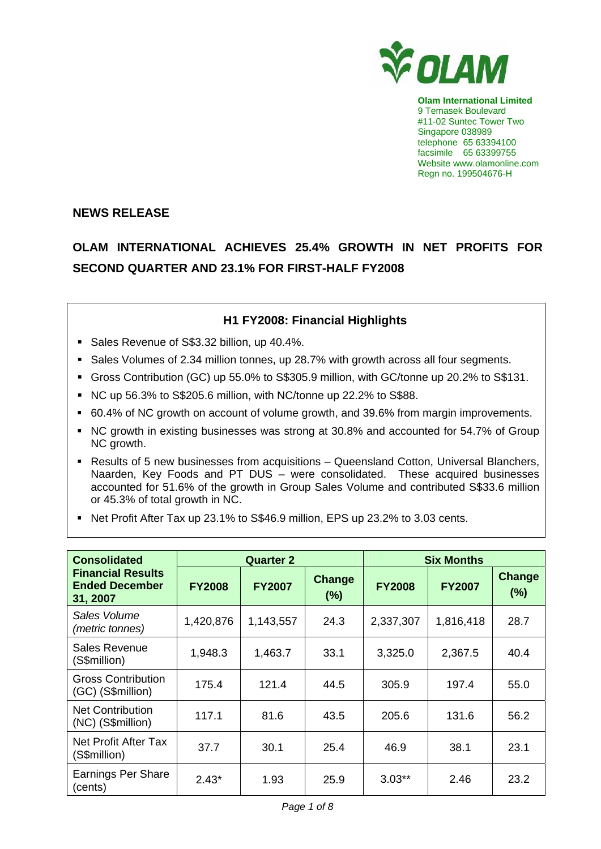

**Olam International Limited**  9 Temasek Boulevard #11-02 Suntec Tower Two Singapore 038989 telephone 65 63394100 facsimile 65 63399755 Website www.olamonline.com Regn no. 199504676-H

## **NEWS RELEASE**

# **OLAM INTERNATIONAL ACHIEVES 25.4% GROWTH IN NET PROFITS FOR SECOND QUARTER AND 23.1% FOR FIRST-HALF FY2008**

# **H1 FY2008: Financial Highlights**

- Sales Revenue of S\$3.32 billion, up 40.4%.
- Sales Volumes of 2.34 million tonnes, up 28.7% with growth across all four segments.
- Gross Contribution (GC) up 55.0% to S\$305.9 million, with GC/tonne up 20.2% to S\$131.
- NC up 56.3% to S\$205.6 million, with NC/tonne up 22.2% to S\$88.
- 60.4% of NC growth on account of volume growth, and 39.6% from margin improvements.
- NC growth in existing businesses was strong at 30.8% and accounted for 54.7% of Group NC growth.
- Results of 5 new businesses from acquisitions Queensland Cotton, Universal Blanchers, Naarden, Key Foods and PT DUS – were consolidated. These acquired businesses accounted for 51.6% of the growth in Group Sales Volume and contributed S\$33.6 million or 45.3% of total growth in NC.
- Net Profit After Tax up 23.1% to S\$46.9 million, EPS up 23.2% to 3.03 cents.

| <b>Consolidated</b>                                           |               | <b>Quarter 2</b> |               | <b>Six Months</b> |               |                      |
|---------------------------------------------------------------|---------------|------------------|---------------|-------------------|---------------|----------------------|
| <b>Financial Results</b><br><b>Ended December</b><br>31, 2007 | <b>FY2008</b> | <b>FY2007</b>    | Change<br>(%) | <b>FY2008</b>     | <b>FY2007</b> | <b>Change</b><br>(%) |
| Sales Volume<br>(metric tonnes)                               | 1,420,876     | 1,143,557        | 24.3          | 2,337,307         | 1,816,418     | 28.7                 |
| Sales Revenue<br>(S\$million)                                 | 1,948.3       | 1,463.7          | 33.1          | 3,325.0           | 2,367.5       | 40.4                 |
| <b>Gross Contribution</b><br>(GC) (S\$million)                | 175.4         | 121.4            | 44.5          | 305.9             | 197.4         | 55.0                 |
| <b>Net Contribution</b><br>(NC) (S\$million)                  | 117.1         | 81.6             | 43.5          | 205.6             | 131.6         | 56.2                 |
| Net Profit After Tax<br>(S\$million)                          | 37.7          | 30.1             | 25.4          | 46.9              | 38.1          | 23.1                 |
| <b>Earnings Per Share</b><br>(cents)                          | $2.43*$       | 1.93             | 25.9          | $3.03**$          | 2.46          | 23.2                 |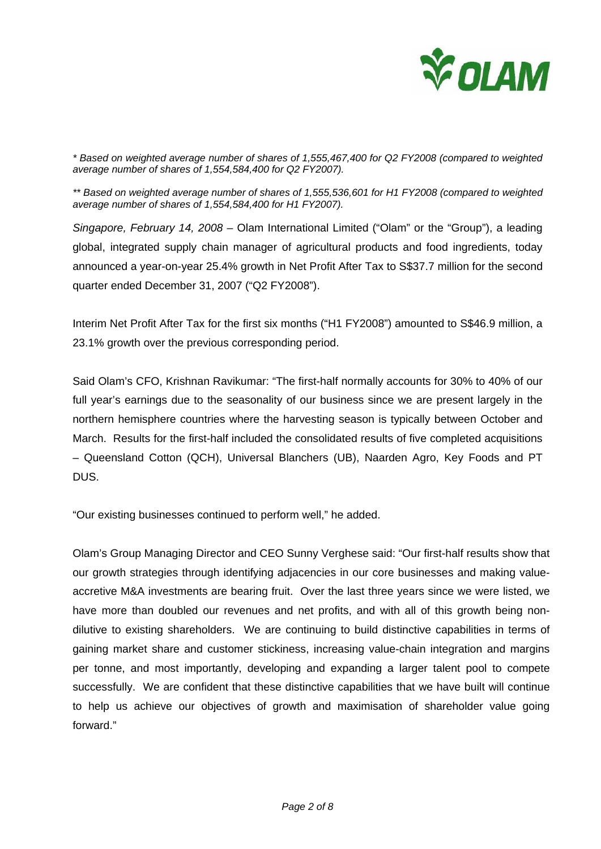

*\* Based on weighted average number of shares of 1,555,467,400 for Q2 FY2008 (compared to weighted average number of shares of 1,554,584,400 for Q2 FY2007).* 

*\*\* Based on weighted average number of shares of 1,555,536,601 for H1 FY2008 (compared to weighted average number of shares of 1,554,584,400 for H1 FY2007).* 

*Singapore, February 14, 2008 –* Olam International Limited ("Olam" or the "Group"), a leading global, integrated supply chain manager of agricultural products and food ingredients, today announced a year-on-year 25.4% growth in Net Profit After Tax to S\$37.7 million for the second quarter ended December 31, 2007 ("Q2 FY2008").

Interim Net Profit After Tax for the first six months ("H1 FY2008") amounted to S\$46.9 million, a 23.1% growth over the previous corresponding period.

Said Olam's CFO, Krishnan Ravikumar: "The first-half normally accounts for 30% to 40% of our full year's earnings due to the seasonality of our business since we are present largely in the northern hemisphere countries where the harvesting season is typically between October and March. Results for the first-half included the consolidated results of five completed acquisitions – Queensland Cotton (QCH), Universal Blanchers (UB), Naarden Agro, Key Foods and PT DUS.

"Our existing businesses continued to perform well," he added.

Olam's Group Managing Director and CEO Sunny Verghese said: "Our first-half results show that our growth strategies through identifying adjacencies in our core businesses and making valueaccretive M&A investments are bearing fruit. Over the last three years since we were listed, we have more than doubled our revenues and net profits, and with all of this growth being nondilutive to existing shareholders. We are continuing to build distinctive capabilities in terms of gaining market share and customer stickiness, increasing value-chain integration and margins per tonne, and most importantly, developing and expanding a larger talent pool to compete successfully. We are confident that these distinctive capabilities that we have built will continue to help us achieve our objectives of growth and maximisation of shareholder value going forward."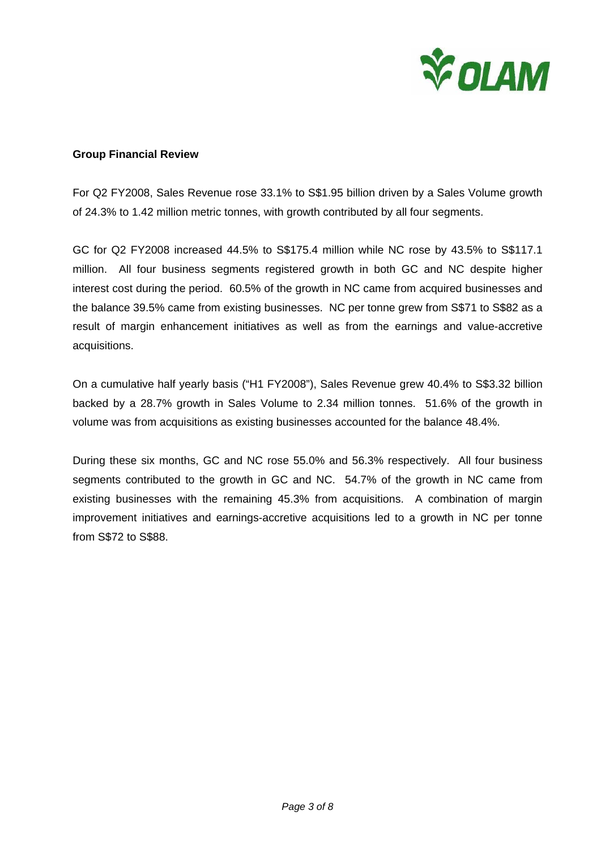

### **Group Financial Review**

For Q2 FY2008, Sales Revenue rose 33.1% to S\$1.95 billion driven by a Sales Volume growth of 24.3% to 1.42 million metric tonnes, with growth contributed by all four segments.

GC for Q2 FY2008 increased 44.5% to S\$175.4 million while NC rose by 43.5% to S\$117.1 million. All four business segments registered growth in both GC and NC despite higher interest cost during the period. 60.5% of the growth in NC came from acquired businesses and the balance 39.5% came from existing businesses. NC per tonne grew from S\$71 to S\$82 as a result of margin enhancement initiatives as well as from the earnings and value-accretive acquisitions.

On a cumulative half yearly basis ("H1 FY2008"), Sales Revenue grew 40.4% to S\$3.32 billion backed by a 28.7% growth in Sales Volume to 2.34 million tonnes. 51.6% of the growth in volume was from acquisitions as existing businesses accounted for the balance 48.4%.

During these six months, GC and NC rose 55.0% and 56.3% respectively. All four business segments contributed to the growth in GC and NC. 54.7% of the growth in NC came from existing businesses with the remaining 45.3% from acquisitions. A combination of margin improvement initiatives and earnings-accretive acquisitions led to a growth in NC per tonne from S\$72 to S\$88.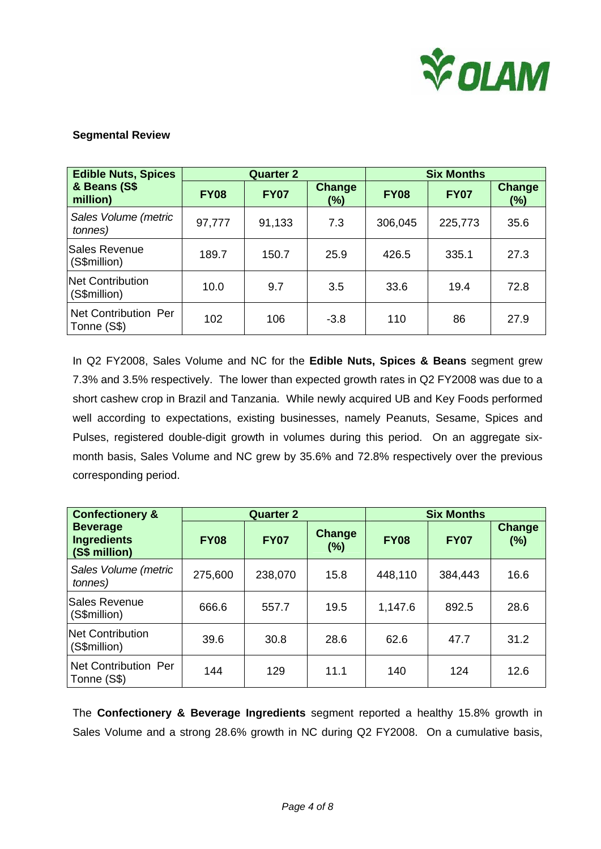

## **Segmental Review**

| <b>Edible Nuts, Spices</b>              |             | <b>Quarter 2</b> |                      | <b>Six Months</b> |             |                         |
|-----------------------------------------|-------------|------------------|----------------------|-------------------|-------------|-------------------------|
| & Beans (S\$<br>million)                | <b>FY08</b> | <b>FY07</b>      | <b>Change</b><br>(%) | <b>FY08</b>       | <b>FY07</b> | <b>Change</b><br>$(\%)$ |
| Sales Volume (metric<br>tonnes)         | 97,777      | 91,133           | 7.3                  | 306,045           | 225,773     | 35.6                    |
| Sales Revenue<br>(S\$million)           | 189.7       | 150.7            | 25.9                 | 426.5             | 335.1       | 27.3                    |
| <b>Net Contribution</b><br>(S\$million) | 10.0        | 9.7              | 3.5                  | 33.6              | 19.4        | 72.8                    |
| Net Contribution Per<br>Tonne (S\$)     | 102         | 106              | $-3.8$               | 110               | 86          | 27.9                    |

In Q2 FY2008, Sales Volume and NC for the **Edible Nuts, Spices & Beans** segment grew 7.3% and 3.5% respectively. The lower than expected growth rates in Q2 FY2008 was due to a short cashew crop in Brazil and Tanzania. While newly acquired UB and Key Foods performed well according to expectations, existing businesses, namely Peanuts, Sesame, Spices and Pulses, registered double-digit growth in volumes during this period. On an aggregate sixmonth basis, Sales Volume and NC grew by 35.6% and 72.8% respectively over the previous corresponding period.

| <b>Confectionery &amp;</b>                             |             | <b>Quarter 2</b> | <b>Six Months</b> |             |             |                      |
|--------------------------------------------------------|-------------|------------------|-------------------|-------------|-------------|----------------------|
| <b>Beverage</b><br><b>Ingredients</b><br>(S\$ million) | <b>FY08</b> | <b>FY07</b>      | Change<br>(%)     | <b>FY08</b> | <b>FY07</b> | <b>Change</b><br>(%) |
| Sales Volume (metric<br>tonnes)                        | 275,600     | 238,070          | 15.8              | 448,110     | 384,443     | 16.6                 |
| Sales Revenue<br>(S\$million)                          | 666.6       | 557.7            | 19.5              | 1,147.6     | 892.5       | 28.6                 |
| <b>Net Contribution</b><br>(S\$million)                | 39.6        | 30.8             | 28.6              | 62.6        | 47.7        | 31.2                 |
| Net Contribution Per<br>Tonne (S\$)                    | 144         | 129              | 11.1              | 140         | 124         | 12.6                 |

The **Confectionery & Beverage Ingredients** segment reported a healthy 15.8% growth in Sales Volume and a strong 28.6% growth in NC during Q2 FY2008. On a cumulative basis,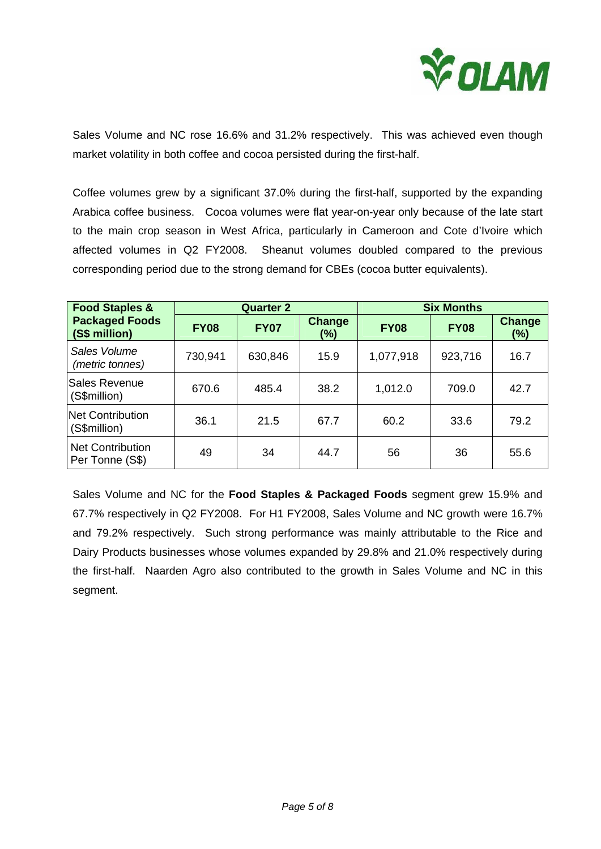

Sales Volume and NC rose 16.6% and 31.2% respectively. This was achieved even though market volatility in both coffee and cocoa persisted during the first-half.

Coffee volumes grew by a significant 37.0% during the first-half, supported by the expanding Arabica coffee business. Cocoa volumes were flat year-on-year only because of the late start to the main crop season in West Africa, particularly in Cameroon and Cote d'Ivoire which affected volumes in Q2 FY2008. Sheanut volumes doubled compared to the previous corresponding period due to the strong demand for CBEs (cocoa butter equivalents).

| <b>Food Staples &amp;</b>                  | <b>Quarter 2</b> |             |               | <b>Six Months</b> |             |                         |
|--------------------------------------------|------------------|-------------|---------------|-------------------|-------------|-------------------------|
| <b>Packaged Foods</b><br>(S\$ million)     | <b>FY08</b>      | <b>FY07</b> | Change<br>(%) | <b>FY08</b>       | <b>FY08</b> | <b>Change</b><br>$(\%)$ |
| Sales Volume<br>(metric tonnes)            | 730,941          | 630,846     | 15.9          | 1,077,918         | 923,716     | 16.7                    |
| Sales Revenue<br>(S\$million)              | 670.6            | 485.4       | 38.2          | 1,012.0           | 709.0       | 42.7                    |
| Net Contribution<br>(S\$million)           | 36.1             | 21.5        | 67.7          | 60.2              | 33.6        | 79.2                    |
| <b>Net Contribution</b><br>Per Tonne (S\$) | 49               | 34          | 44.7          | 56                | 36          | 55.6                    |

Sales Volume and NC for the **Food Staples & Packaged Foods** segment grew 15.9% and 67.7% respectively in Q2 FY2008. For H1 FY2008, Sales Volume and NC growth were 16.7% and 79.2% respectively. Such strong performance was mainly attributable to the Rice and Dairy Products businesses whose volumes expanded by 29.8% and 21.0% respectively during the first-half. Naarden Agro also contributed to the growth in Sales Volume and NC in this segment.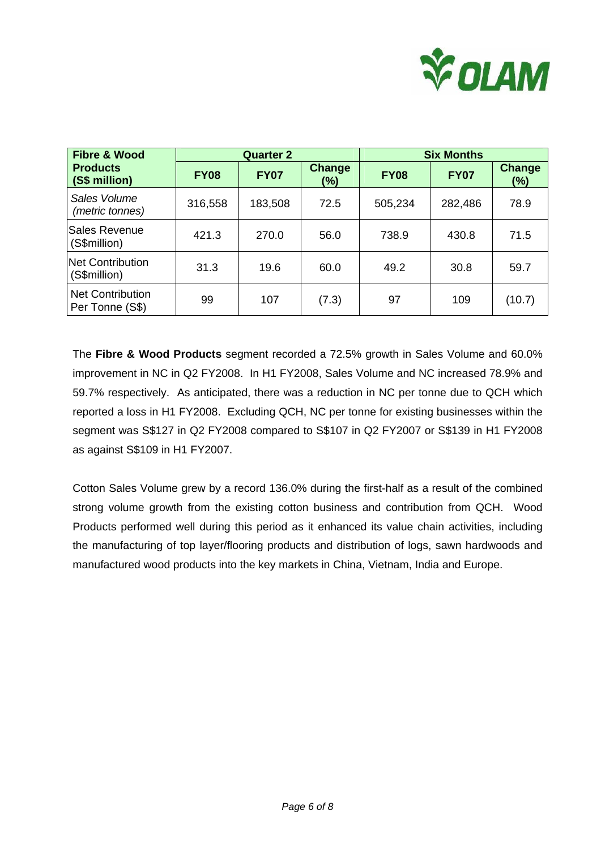

| <b>Fibre &amp; Wood</b>                    |             | <b>Quarter 2</b> |                      |             | <b>Six Months</b> |                      |  |
|--------------------------------------------|-------------|------------------|----------------------|-------------|-------------------|----------------------|--|
| <b>Products</b><br>(S\$ million)           | <b>FY08</b> | <b>FY07</b>      | <b>Change</b><br>(%) | <b>FY08</b> | <b>FY07</b>       | <b>Change</b><br>(%) |  |
| Sales Volume<br>(metric tonnes)            | 316,558     | 183,508          | 72.5                 | 505,234     | 282,486           | 78.9                 |  |
| Sales Revenue<br>(S\$million)              | 421.3       | 270.0            | 56.0                 | 738.9       | 430.8             | 71.5                 |  |
| <b>Net Contribution</b><br>(S\$million)    | 31.3        | 19.6             | 60.0                 | 49.2        | 30.8              | 59.7                 |  |
| <b>Net Contribution</b><br>Per Tonne (S\$) | 99          | 107              | (7.3)                | 97          | 109               | (10.7)               |  |

The **Fibre & Wood Products** segment recorded a 72.5% growth in Sales Volume and 60.0% improvement in NC in Q2 FY2008. In H1 FY2008, Sales Volume and NC increased 78.9% and 59.7% respectively. As anticipated, there was a reduction in NC per tonne due to QCH which reported a loss in H1 FY2008. Excluding QCH, NC per tonne for existing businesses within the segment was S\$127 in Q2 FY2008 compared to S\$107 in Q2 FY2007 or S\$139 in H1 FY2008 as against S\$109 in H1 FY2007.

Cotton Sales Volume grew by a record 136.0% during the first-half as a result of the combined strong volume growth from the existing cotton business and contribution from QCH. Wood Products performed well during this period as it enhanced its value chain activities, including the manufacturing of top layer/flooring products and distribution of logs, sawn hardwoods and manufactured wood products into the key markets in China, Vietnam, India and Europe.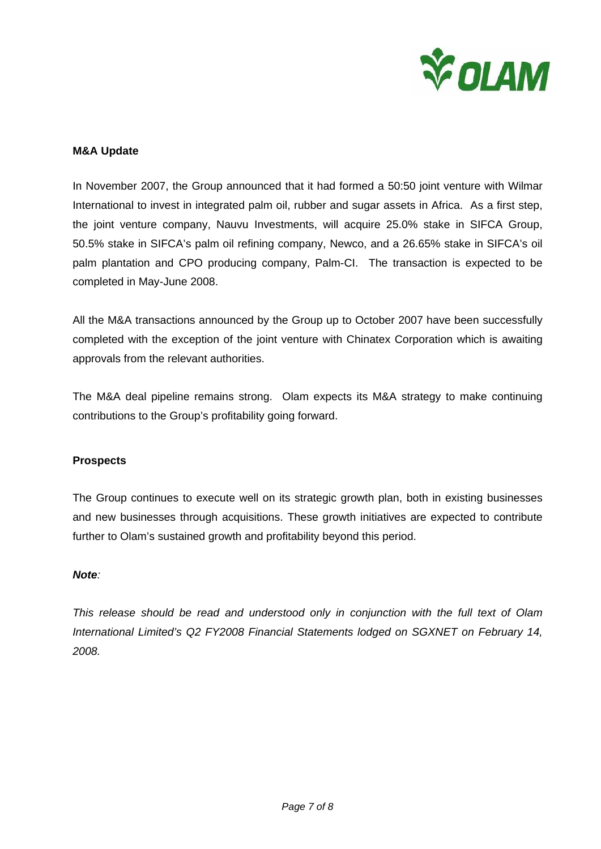

### **M&A Update**

In November 2007, the Group announced that it had formed a 50:50 joint venture with Wilmar International to invest in integrated palm oil, rubber and sugar assets in Africa. As a first step, the joint venture company, Nauvu Investments, will acquire 25.0% stake in SIFCA Group, 50.5% stake in SIFCA's palm oil refining company, Newco, and a 26.65% stake in SIFCA's oil palm plantation and CPO producing company, Palm-CI. The transaction is expected to be completed in May-June 2008.

All the M&A transactions announced by the Group up to October 2007 have been successfully completed with the exception of the joint venture with Chinatex Corporation which is awaiting approvals from the relevant authorities.

The M&A deal pipeline remains strong. Olam expects its M&A strategy to make continuing contributions to the Group's profitability going forward.

### **Prospects**

The Group continues to execute well on its strategic growth plan, both in existing businesses and new businesses through acquisitions. These growth initiatives are expected to contribute further to Olam's sustained growth and profitability beyond this period.

#### *Note:*

*This release should be read and understood only in conjunction with the full text of Olam International Limited's Q2 FY2008 Financial Statements lodged on SGXNET on February 14, 2008.*